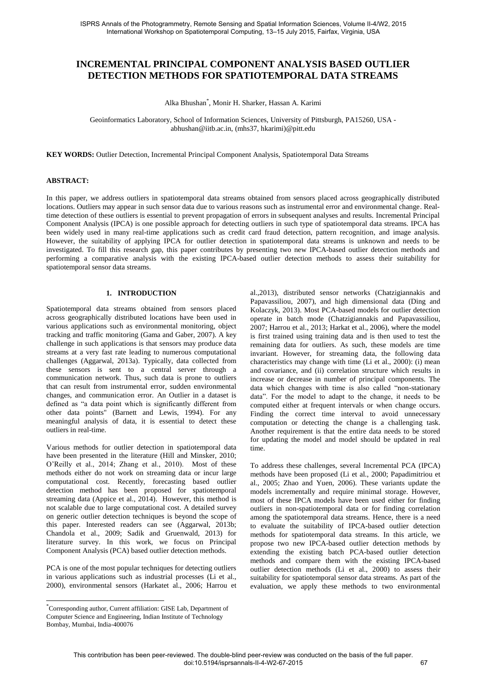# **INCREMENTAL PRINCIPAL COMPONENT ANALYSIS BASED OUTLIER DETECTION METHODS FOR SPATIOTEMPORAL DATA STREAMS**

Alka Bhushan\* , Monir H. Sharker, Hassan A. Karimi

Geoinformatics Laboratory, School of Information Sciences, University of Pittsburgh, PA15260, USA abhushan@iitb.ac.in, (mhs37, hkarimi)@pitt.edu

**KEY WORDS:** Outlier Detection, Incremental Principal Component Analysis, Spatiotemporal Data Streams

#### **ABSTRACT:**

In this paper, we address outliers in spatiotemporal data streams obtained from sensors placed across geographically distributed locations. Outliers may appear in such sensor data due to various reasons such as instrumental error and environmental change. Realtime detection of these outliers is essential to prevent propagation of errors in subsequent analyses and results. Incremental Principal Component Analysis (IPCA) is one possible approach for detecting outliers in such type of spatiotemporal data streams. IPCA has been widely used in many real-time applications such as credit card fraud detection, pattern recognition, and image analysis. However, the suitability of applying IPCA for outlier detection in spatiotemporal data streams is unknown and needs to be investigated. To fill this research gap, this paper contributes by presenting two new IPCA-based outlier detection methods and performing a comparative analysis with the existing IPCA-based outlier detection methods to assess their suitability for spatiotemporal sensor data streams.

## **1. INTRODUCTION**

Spatiotemporal data streams obtained from sensors placed across geographically distributed locations have been used in various applications such as environmental monitoring, object tracking and traffic monitoring (Gama and Gaber, 2007). A key challenge in such applications is that sensors may produce data streams at a very fast rate leading to numerous computational challenges (Aggarwal, 2013a). Typically, data collected from these sensors is sent to a central server through a communication network. Thus, such data is prone to outliers that can result from instrumental error, sudden environmental changes, and communication error. An Outlier in a dataset is defined as "a data point which is significantly different from other data points" (Barnett and Lewis, 1994). For any meaningful analysis of data, it is essential to detect these outliers in real-time.

Various methods for outlier detection in spatiotemporal data have been presented in the literature (Hill and Minsker, 2010; O'Reilly et al., 2014; Zhang et al., 2010). Most of these methods either do not work on streaming data or incur large computational cost. Recently, forecasting based outlier detection method has been proposed for spatiotemporal streaming data (Appice et al., 2014). However, this method is not scalable due to large computational cost. A detailed survey on generic outlier detection techniques is beyond the scope of this paper. Interested readers can see (Aggarwal, 2013b; Chandola et al., 2009; Sadik and Gruenwald, 2013) for literature survey. In this work, we focus on Principal Component Analysis (PCA) based outlier detection methods.

PCA is one of the most popular techniques for detecting outliers in various applications such as industrial processes (Li et al., 2000), environmental sensors (Harkatet al., 2006; Harrou et

 $\overline{a}$ 

al.,2013), distributed sensor networks (Chatzigiannakis and Papavassiliou, 2007), and high dimensional data (Ding and Kolaczyk, 2013). Most PCA-based models for outlier detection operate in batch mode (Chatzigiannakis and Papavassiliou, 2007; Harrou et al., 2013; Harkat et al., 2006), where the model is first trained using training data and is then used to test the remaining data for outliers. As such, these models are time invariant. However, for streaming data, the following data characteristics may change with time (Li et al., 2000): (i) mean and covariance, and (ii) correlation structure which results in increase or decrease in number of principal components. The data which changes with time is also called "non-stationary data". For the model to adapt to the change, it needs to be computed either at frequent intervals or when change occurs. Finding the correct time interval to avoid unnecessary computation or detecting the change is a challenging task. Another requirement is that the entire data needs to be stored for updating the model and model should be updated in real time.

To address these challenges, several Incremental PCA (IPCA) methods have been proposed (Li et al., 2000; Papadimitriou et al., 2005; Zhao and Yuen, 2006). These variants update the models incrementally and require minimal storage. However, most of these IPCA models have been used either for finding outliers in non-spatiotemporal data or for finding correlation among the spatiotemporal data streams. Hence, there is a need to evaluate the suitability of IPCA-based outlier detection methods for spatiotemporal data streams. In this article, we propose two new IPCA-based outlier detection methods by extending the existing batch PCA-based outlier detection methods and compare them with the existing IPCA-based outlier detection methods (Li et al., 2000) to assess their suitability for spatiotemporal sensor data streams. As part of the evaluation, we apply these methods to two environmental

<sup>\*</sup>Corresponding author, Current affiliation: GISE Lab, Department of Computer Science and Engineering, Indian Institute of Technology Bombay, Mumbai, India-400076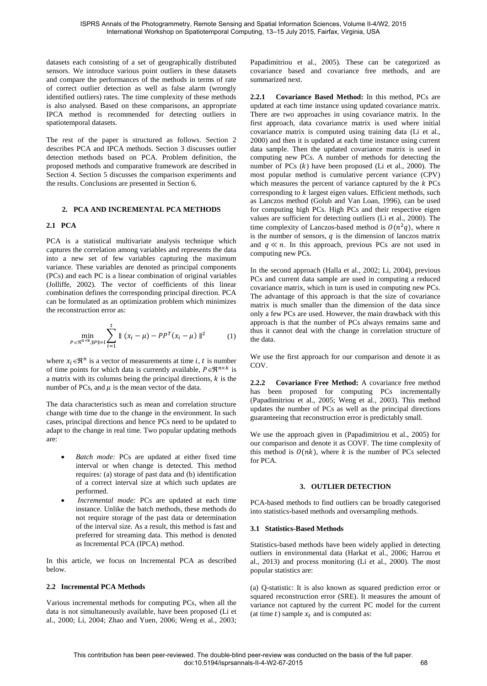datasets each consisting of a set of geographically distributed sensors. We introduce various point outliers in these datasets and compare the performances of the methods in terms of rate of correct outlier detection as well as false alarm (wrongly identified outliers) rates. The time complexity of these methods is also analysed. Based on these comparisons, an appropriate IPCA method is recommended for detecting outliers in spatiotemporal datasets.

The rest of the paper is structured as follows. Section 2 describes PCA and IPCA methods. Section 3 discusses outlier detection methods based on PCA. Problem definition, the proposed methods and comparative framework are described in Section 4. Section 5 discusses the comparison experiments and the results. Conclusions are presented in Section 6.

#### **2. PCA AND INCREMENTAL PCA METHODS**

## **2.1 PCA**

PCA is a statistical multivariate analysis technique which captures the correlation among variables and represents the data into a new set of few variables capturing the maximum variance. These variables are denoted as principal components (PCs) and each PC is a linear combination of original variables (Jolliffe, 2002). The vector of coefficients of this linear combination defines the corresponding principal direction. PCA can be formulated as an optimization problem which minimizes the reconstruction error as:

$$
\min_{P \in \mathfrak{R}^{n \times k}, \|P\| = 1} \sum_{i=1}^{t} \| (x_i - \mu) - P P^T (x_i - \mu) \|^2
$$
 (1)

where  $x_i \in \mathbb{R}^n$  is a vector of measurements at time *i*, *t* is number of time points for which data is currently available,  $P \in \mathbb{R}^{n \times k}$  is a matrix with its columns being the principal directions,  $k$  is the number of PCs, and  $\mu$  is the mean vector of the data.

The data characteristics such as mean and correlation structure change with time due to the change in the environment. In such cases, principal directions and hence PCs need to be updated to adapt to the change in real time. Two popular updating methods are:

- *Batch mode:* PCs are updated at either fixed time interval or when change is detected. This method requires: (a) storage of past data and (b) identification of a correct interval size at which such updates are performed.
- *Incremental mode:* PCs are updated at each time instance. Unlike the batch methods, these methods do not require storage of the past data or determination of the interval size. As a result, this method is fast and preferred for streaming data. This method is denoted as Incremental PCA (IPCA) method.

In this article, we focus on Incremental PCA as described below.

#### **2.2 Incremental PCA Methods**

Various incremental methods for computing PCs, when all the data is not simultaneously available, have been proposed (Li et al., 2000; Li, 2004; Zhao and Yuen, 2006; Weng et al., 2003;

Papadimitriou et al., 2005). These can be categorized as covariance based and covariance free methods, and are summarized next.

**2.2.1 Covariance Based Method:** In this method, PCs are updated at each time instance using updated covariance matrix. There are two approaches in using covariance matrix. In the first approach, data covariance matrix is used where initial covariance matrix is computed using training data (Li et al., 2000) and then it is updated at each time instance using current data sample. Then the updated covariance matrix is used in computing new PCs. A number of methods for detecting the number of PCs  $(k)$  have been proposed (Li et al., 2000). The most popular method is cumulative percent variance (CPV) which measures the percent of variance captured by the  $k$  PCs corresponding to  $k$  largest eigen values. Efficient methods, such as Lanczos method (Golub and Van Loan, 1996), can be used for computing high PCs. High PCs and their respective eigen values are sufficient for detecting outliers (Li et al., 2000). The time complexity of Lanczos-based method is  $O(n^2q)$ , where n is the number of sensors,  $q$  is the dimension of lanczos matrix and  $q \ll n$ . In this approach, previous PCs are not used in computing new PCs.

In the second approach (Halla et al., 2002; Li, 2004), previous PCs and current data sample are used in computing a reduced covariance matrix, which in turn is used in computing new PCs. The advantage of this approach is that the size of covariance matrix is much smaller than the dimension of the data since only a few PCs are used. However, the main drawback with this approach is that the number of PCs always remains same and thus it cannot deal with the change in correlation structure of the data.

We use the first approach for our comparison and denote it as COV.

**2.2.2 Covariance Free Method:** A covariance free method has been proposed for computing PCs incrementally (Papadimitriou et al., 2005; Weng et al., 2003). This method updates the number of PCs as well as the principal directions guaranteeing that reconstruction error is predictably small.

We use the approach given in (Papadimitriou et al., 2005) for our comparison and denote it as COVF. The time complexity of this method is  $O(nk)$ , where k is the number of PCs selected for PCA.

## **3. OUTLIER DETECTION**

PCA-based methods to find outliers can be broadly categorised into statistics-based methods and oversampling methods.

## **3.1 Statistics-Based Methods**

Statistics-based methods have been widely applied in detecting outliers in environmental data (Harkat et al., 2006; Harrou et al., 2013) and process monitoring (Li et al., 2000). The most popular statistics are:

(a) Q-statistic: It is also known as squared prediction error or squared reconstruction error (SRE). It measures the amount of variance not captured by the current PC model for the current (at time  $t$ ) sample  $x_t$  and is computed as: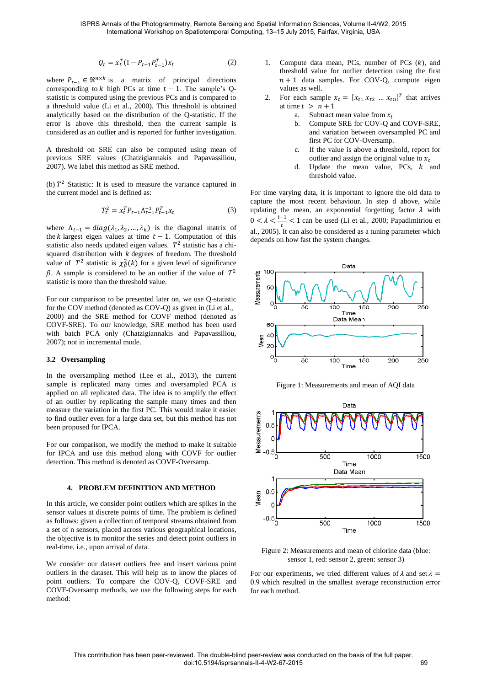$$
Q_t = x_t^T (I - P_{t-1} P_{t-1}^T) x_t
$$
 (2)

where  $P_{t-1} \in \mathbb{R}^{n \times k}$  is a matrix of principal directions corresponding to  $k$  high PCs at time  $t - 1$ . The sample's Qstatistic is computed using the previous PCs and is compared to a threshold value (Li et al., 2000). This threshold is obtained analytically based on the distribution of the Q-statistic. If the error is above this threshold, then the current sample is considered as an outlier and is reported for further investigation.

A threshold on SRE can also be computed using mean of previous SRE values (Chatzigiannakis and Papavassiliou, 2007). We label this method as SRE method.

(b)  $T^2$  Statistic: It is used to measure the variance captured in the current model and is defined as:

$$
T_t^2 = x_t^T P_{t-1} \Lambda_{t-1}^{-1} P_{t-1}^T x_t \tag{3}
$$

where  $\Lambda_{t-1} = diag(\lambda_1, \lambda_2, ..., \lambda_k)$  is the diagonal matrix of the *k* largest eigen values at time  $t - 1$ . Computation of this statistic also needs updated eigen values.  $T^2$  statistic has a chisquared distribution with  $k$  degrees of freedom. The threshold value of  $T^2$  statistic is  $\chi^2_{\beta}(k)$  for a given level of significance  $\beta$ . A sample is considered to be an outlier if the value of  $T^2$ statistic is more than the threshold value.

For our comparison to be presented later on, we use Q-statistic for the COV method (denoted as COV-Q) as given in (Li et al., 2000) and the SRE method for COVF method (denoted as COVF-SRE). To our knowledge, SRE method has been used with batch PCA only (Chatzigiannakis and Papavassiliou, 2007); not in incremental mode.

#### **3.2 Oversampling**

In the oversampling method (Lee et al., 2013), the current sample is replicated many times and oversampled PCA is applied on all replicated data. The idea is to amplify the effect of an outlier by replicating the sample many times and then measure the variation in the first PC. This would make it easier to find outlier even for a large data set, but this method has not been proposed for IPCA.

For our comparison, we modify the method to make it suitable for IPCA and use this method along with COVF for outlier detection. This method is denoted as COVF-Oversamp.

## **4. PROBLEM DEFINITION AND METHOD**

In this article, we consider point outliers which are spikes in the sensor values at discrete points of time. The problem is defined as follows: given a collection of temporal streams obtained from a set of n sensors, placed across various geographical locations, the objective is to monitor the series and detect point outliers in real-time, i.e., upon arrival of data.

We consider our dataset outliers free and insert various point outliers in the dataset. This will help us to know the places of point outliers. To compare the COV-Q, COVF-SRE and COVF-Oversamp methods, we use the following steps for each method:

- 1. Compute data mean, PCs, number of PCs  $(k)$ , and threshold value for outlier detection using the first  $n + 1$  data samples. For COV-Q, compute eigen values as well.
- 2. For each sample  $x_t = [x_{t1} \ x_{t2} \ ... \ x_{tn}]^T$  that arrives at time  $t > n + 1$ 
	- a. Subtract mean value from  $x_t$ <br>b. Compute SRE for COV-O a
	- Compute SRE for COV-Q and COVF-SRE, and variation between oversampled PC and first PC for COV-Oversamp.
	- c. If the value is above a threshold, report for outlier and assign the original value to  $x_t$
	- d. Update the mean value, PCs,  $k$  and threshold value.

For time varying data, it is important to ignore the old data to capture the most recent behaviour. In step d above, while updating the mean, an exponential forgetting factor  $\lambda$  with  $0 < \lambda < \frac{t-1}{t} < 1$  can be used (Li et al., 2000; Papadimitriou et al., 2005). It can also be considered as a tuning parameter which depends on how fast the system changes.



Figure 1: Measurements and mean of AQI data



Figure 2. Measurements and mean of chlorine data Figure 2: Measurements and mean of chlorine data (blue: sensor 1, red: sensor 2, green: sensor 3)

For our experiments, we tried different values of  $\lambda$  and set  $\lambda =$ 0.9 which resulted in the smallest average reconstruction error for each method.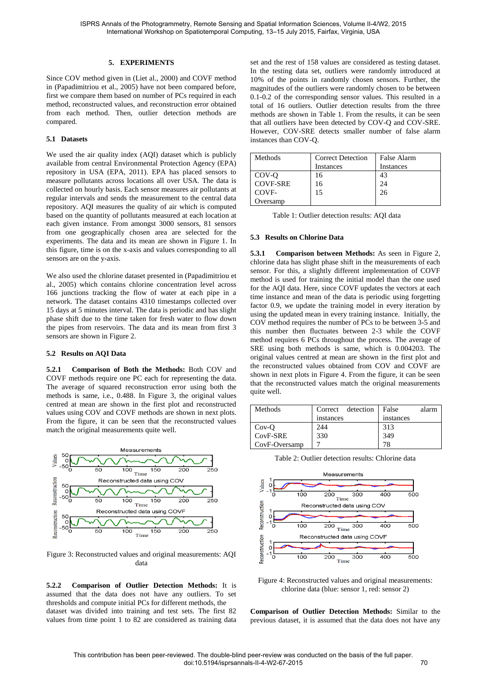## **5. EXPERIMENTS**

Since COV method given in (Liet al., 2000) and COVF method in (Papadimitriou et al., 2005) have not been compared before, first we compare them based on number of PCs required in each method, reconstructed values, and reconstruction error obtained from each method. Then, outlier detection methods are compared.

## **5.1 Datasets**

We used the air quality index (AQI) dataset which is publicly available from central Environmental Protection Agency (EPA) repository in USA (EPA, 2011). EPA has placed sensors to measure pollutants across locations all over USA. The data is collected on hourly basis. Each sensor measures air pollutants at regular intervals and sends the measurement to the central data repository. AQI measures the quality of air which is computed based on the quantity of pollutants measured at each location at each given instance. From amongst 3000 sensors, 81 sensors from one geographically chosen area are selected for the experiments. The data and its mean are shown in Figure 1. In this figure, time is on the x-axis and values corresponding to all sensors are on the y-axis.

We also used the chlorine dataset presented in (Papadimitriou et al., 2005) which contains chlorine concentration level across 166 junctions tracking the flow of water at each pipe in a network. The dataset contains 4310 timestamps collected over 15 days at 5 minutes interval. The data is periodic and has slight phase shift due to the time taken for fresh water to flow down the pipes from reservoirs. The data and its mean from first 3 sensors are shown in Figure 2.

#### **5.2 Results on AQI Data**

**5.2.1 Comparison of Both the Methods:** Both COV and COVF methods require one PC each for representing the data. The average of squared reconstruction error using both the methods is same, i.e., 0.488. In Figure 3, the original values centred at mean are shown in the first plot and reconstructed values using COV and COVF methods are shown in next plots. From the figure, it can be seen that the reconstructed values match the original measurements quite well.



Figure 3: Reconstructed values and original measurements: AQI data

**5.2.2 Comparison of Outlier Detection Methods:** It is assumed that the data does not have any outliers. To set thresholds and compute initial PCs for different methods, the dataset was divided into training and test sets. The first 82 values from time point 1 to 82 are considered as training data set and the rest of 158 values are considered as testing dataset. In the testing data set, outliers were randomly introduced at 10% of the points in randomly chosen sensors. Further, the magnitudes of the outliers were randomly chosen to be between 0.1-0.2 of the corresponding sensor values. This resulted in a total of 16 outliers. Outlier detection results from the three methods are shown in Table 1. From the results, it can be seen that all outliers have been detected by COV-Q and COV-SRE. However, COV-SRE detects smaller number of false alarm instances than COV-Q.

| Methods         | <b>Correct Detection</b> | False Alarm |
|-----------------|--------------------------|-------------|
|                 | Instances                | Instances   |
| COV-O           | 16                       | 43          |
| <b>COVF-SRE</b> | 16                       | 24          |
| COVF-           | 15                       | 26          |
| ) versamp       |                          |             |

Table 1: Outlier detection results: AQI data

#### **5.3 Results on Chlorine Data**

**5.3.1 Comparison between Methods:** As seen in Figure 2, chlorine data has slight phase shift in the measurements of each sensor. For this, a slightly different implementation of COVF method is used for training the initial model than the one used for the AQI data. Here, since COVF updates the vectors at each time instance and mean of the data is periodic using forgetting factor 0.9, we update the training model in every iteration by using the updated mean in every training instance. Initially, the COV method requires the number of PCs to be between 3-5 and this number then fluctuates between 2-3 while the COVF method requires 6 PCs throughout the process. The average of SRE using both methods is same, which is 0.004203. The original values centred at mean are shown in the first plot and the reconstructed values obtained from COV and COVF are shown in next plots in Figure 4. From the figure, it can be seen that the reconstructed values match the original measurements quite well.

| Methods       | Correct detection | False<br>alarm |
|---------------|-------------------|----------------|
|               | instances         | instances      |
| $Cov-O$       | 244               | 313            |
| CovF-SRE      | 330               | 349            |
| CovF-Oversamp |                   | 79             |





Figure 4: Reconstructed values and original measurements: chlorine data (blue: sensor 1, red: sensor 2)

**Comparison of Outlier Detection Methods:** Similar to the previous dataset, it is assumed that the data does not have any